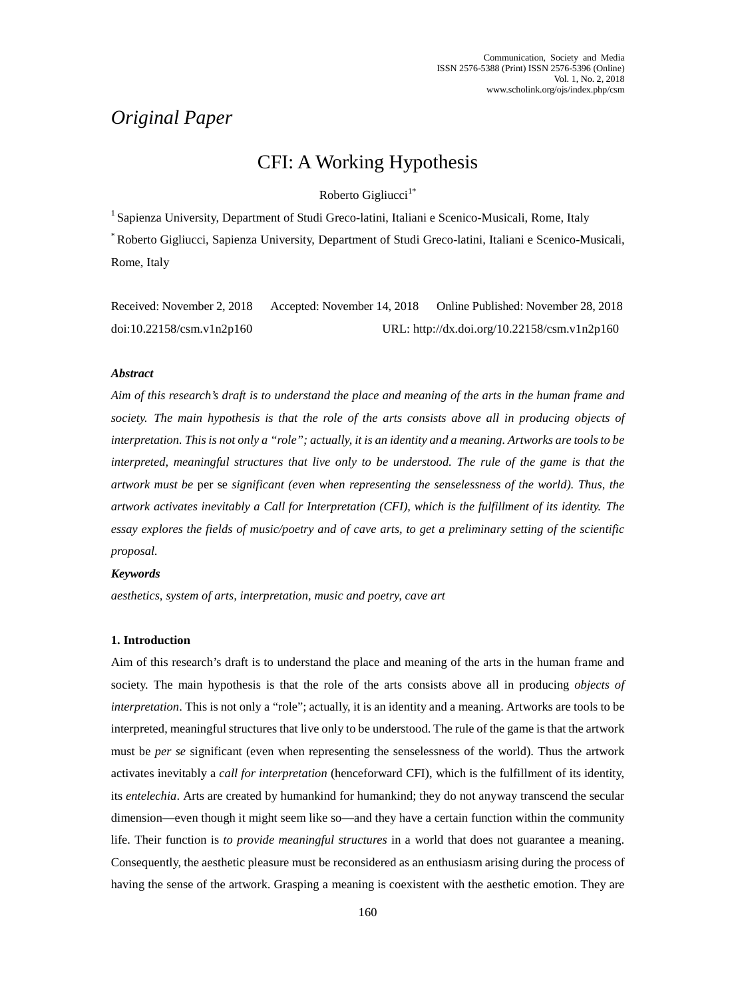# *Original Paper*

# CFI: A Working Hypothesis

Roberto Gigliucci<sup>1\*</sup>

<sup>1</sup> Sapienza University, Department of Studi Greco-latini, Italiani e Scenico-Musicali, Rome, Italy \* Roberto Gigliucci, Sapienza University, Department of Studi Greco-latini, Italiani e Scenico-Musicali, Rome, Italy

| Received: November 2, 2018 | Accepted: November 14, 2018 | Online Published: November 28, 2018          |
|----------------------------|-----------------------------|----------------------------------------------|
| doi:10.22158/csm.v1n2p160  |                             | URL: http://dx.doi.org/10.22158/csm.v1n2p160 |

# *Abstract*

*Aim of this research's draft is to understand the place and meaning of the arts in the human frame and society. The main hypothesis is that the role of the arts consists above all in producing objects of interpretation. This is not only a "role"; actually, it is an identity and a meaning. Artworks are tools to be interpreted, meaningful structures that live only to be understood. The rule of the game is that the artwork must be* per se *significant (even when representing the senselessness of the world). Thus, the artwork activates inevitably a Call for Interpretation (CFI), which is the fulfillment of its identity. The essay explores the fields of music/poetry and of cave arts, to get a preliminary setting of the scientific proposal.*

## *Keywords*

*aesthetics, system of arts, interpretation, music and poetry, cave art*

# **1. Introduction**

Aim of this research's draft is to understand the place and meaning of the arts in the human frame and society. The main hypothesis is that the role of the arts consists above all in producing *objects of interpretation*. This is not only a "role"; actually, it is an identity and a meaning. Artworks are tools to be interpreted, meaningful structures that live only to be understood. The rule of the game is that the artwork must be *per se* significant (even when representing the senselessness of the world). Thus the artwork activates inevitably a *call for interpretation* (henceforward CFI), which is the fulfillment of its identity, its *entelechia*. Arts are created by humankind for humankind; they do not anyway transcend the secular dimension—even though it might seem like so—and they have a certain function within the community life. Their function is *to provide meaningful structures* in a world that does not guarantee a meaning. Consequently, the aesthetic pleasure must be reconsidered as an enthusiasm arising during the process of having the sense of the artwork. Grasping a meaning is coexistent with the aesthetic emotion. They are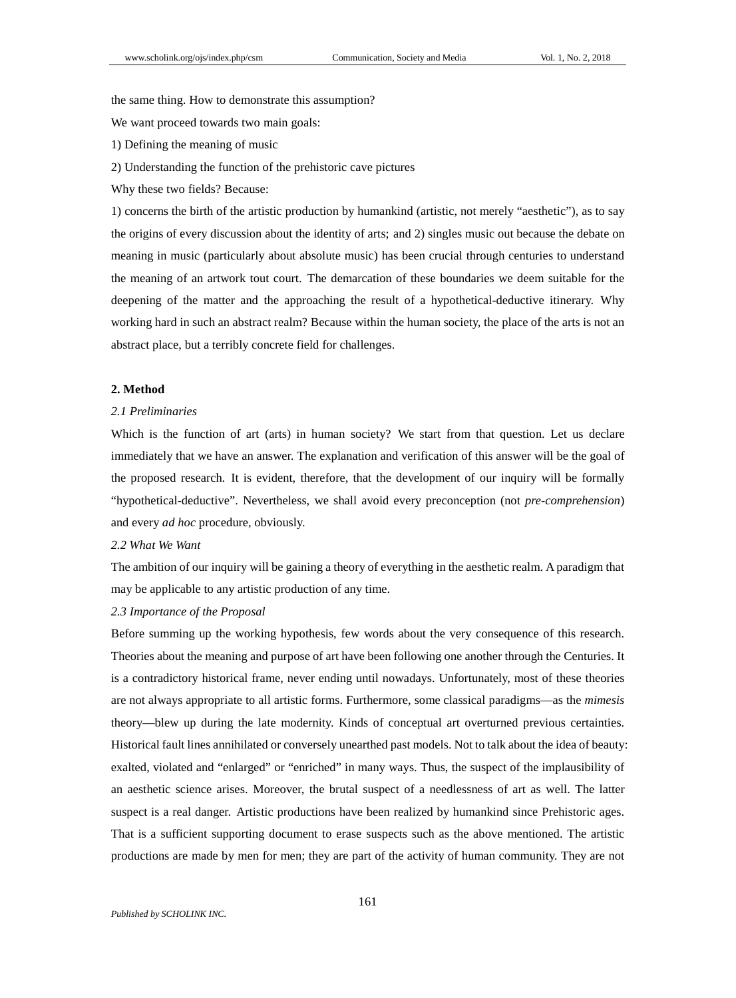the same thing. How to demonstrate this assumption?

We want proceed towards two main goals:

1) Defining the meaning of music

2) Understanding the function of the prehistoric cave pictures

Why these two fields? Because:

1) concerns the birth of the artistic production by humankind (artistic, not merely "aesthetic"), as to say the origins of every discussion about the identity of arts; and 2) singles music out because the debate on meaning in music (particularly about absolute music) has been crucial through centuries to understand the meaning of an artwork tout court. The demarcation of these boundaries we deem suitable for the deepening of the matter and the approaching the result of a hypothetical-deductive itinerary. Why working hard in such an abstract realm? Because within the human society, the place of the arts is not an abstract place, but a terribly concrete field for challenges.

## **2. Method**

# *2.1 Preliminaries*

Which is the function of art (arts) in human society? We start from that question. Let us declare immediately that we have an answer. The explanation and verification of this answer will be the goal of the proposed research. It is evident, therefore, that the development of our inquiry will be formally "hypothetical-deductive". Nevertheless, we shall avoid every preconception (not *pre-comprehension*) and every *ad hoc* procedure, obviously.

*2.2 What We Want*

The ambition of our inquiry will be gaining a theory of everything in the aesthetic realm. A paradigm that may be applicable to any artistic production of any time.

# *2.3 Importance of the Proposal*

Before summing up the working hypothesis, few words about the very consequence of this research. Theories about the meaning and purpose of art have been following one another through the Centuries. It is a contradictory historical frame, never ending until nowadays. Unfortunately, most of these theories are not always appropriate to all artistic forms. Furthermore, some classical paradigms—as the *mimesis* theory—blew up during the late modernity. Kinds of conceptual art overturned previous certainties. Historical fault lines annihilated or conversely unearthed past models. Not to talk about the idea of beauty: exalted, violated and "enlarged" or "enriched" in many ways. Thus, the suspect of the implausibility of an aesthetic science arises. Moreover, the brutal suspect of a needlessness of art as well. The latter suspect is a real danger. Artistic productions have been realized by humankind since Prehistoric ages. That is a sufficient supporting document to erase suspects such as the above mentioned. The artistic productions are made by men for men; they are part of the activity of human community. They are not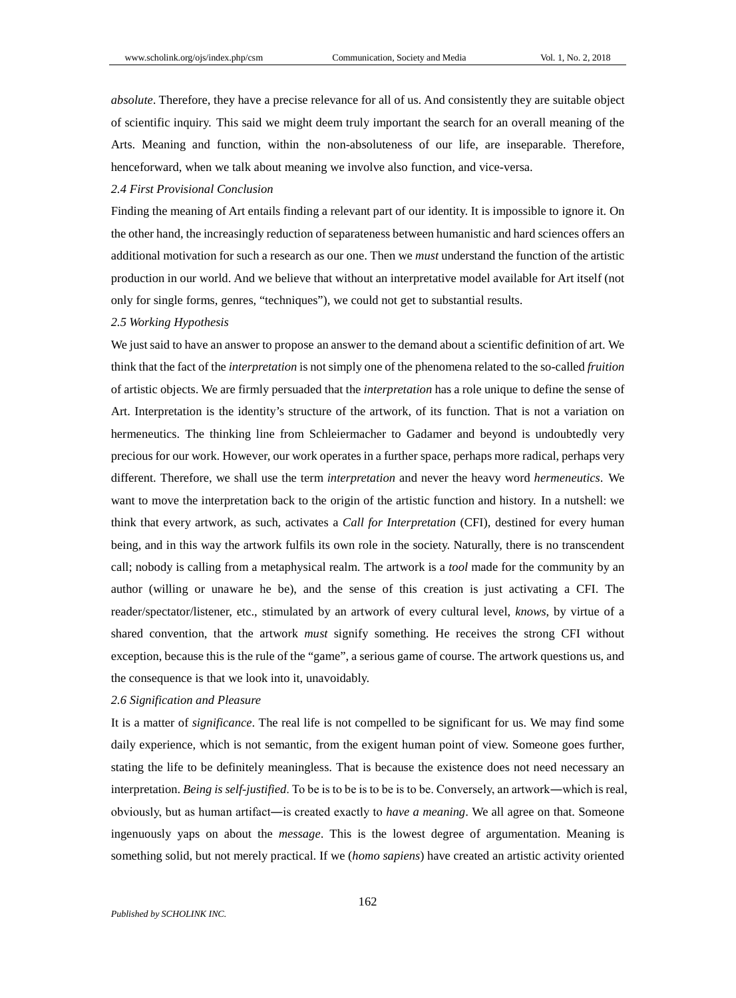*absolute*. Therefore, they have a precise relevance for all of us. And consistently they are suitable object of scientific inquiry. This said we might deem truly important the search for an overall meaning of the Arts. Meaning and function, within the non-absoluteness of our life, are inseparable. Therefore, henceforward, when we talk about meaning we involve also function, and vice-versa.

# *2.4 First Provisional Conclusion*

Finding the meaning of Art entails finding a relevant part of our identity. It is impossible to ignore it. On the other hand, the increasingly reduction of separateness between humanistic and hard sciences offers an additional motivation for such a research as our one. Then we *must* understand the function of the artistic production in our world. And we believe that without an interpretative model available for Art itself (not only for single forms, genres, "techniques"), we could not get to substantial results.

## *2.5 Working Hypothesis*

We just said to have an answer to propose an answer to the demand about a scientific definition of art. We think that the fact of the *interpretation* is not simply one of the phenomena related to the so-called *fruition* of artistic objects. We are firmly persuaded that the *interpretation* has a role unique to define the sense of Art. Interpretation is the identity's structure of the artwork, of its function. That is not a variation on hermeneutics. The thinking line from Schleiermacher to Gadamer and beyond is undoubtedly very precious for our work. However, our work operates in a further space, perhaps more radical, perhaps very different. Therefore, we shall use the term *interpretation* and never the heavy word *hermeneutics*. We want to move the interpretation back to the origin of the artistic function and history. In a nutshell: we think that every artwork, as such, activates a *Call for Interpretation* (CFI), destined for every human being, and in this way the artwork fulfils its own role in the society. Naturally, there is no transcendent call; nobody is calling from a metaphysical realm. The artwork is a *tool* made for the community by an author (willing or unaware he be), and the sense of this creation is just activating a CFI. The reader/spectator/listener, etc., stimulated by an artwork of every cultural level, *knows*, by virtue of a shared convention, that the artwork *must* signify something. He receives the strong CFI without exception, because this is the rule of the "game", a serious game of course. The artwork questions us, and the consequence is that we look into it, unavoidably.

## *2.6 Signification and Pleasure*

It is a matter of *significance*. The real life is not compelled to be significant for us. We may find some daily experience, which is not semantic, from the exigent human point of view. Someone goes further, stating the life to be definitely meaningless. That is because the existence does not need necessary an interpretation. *Being is self-justified*. To be is to be is to be is to be. Conversely, an artwork—which is real, obviously, but as human artifact―is created exactly to *have a meaning*. We all agree on that. Someone ingenuously yaps on about the *message*. This is the lowest degree of argumentation. Meaning is something solid, but not merely practical. If we (*homo sapiens*) have created an artistic activity oriented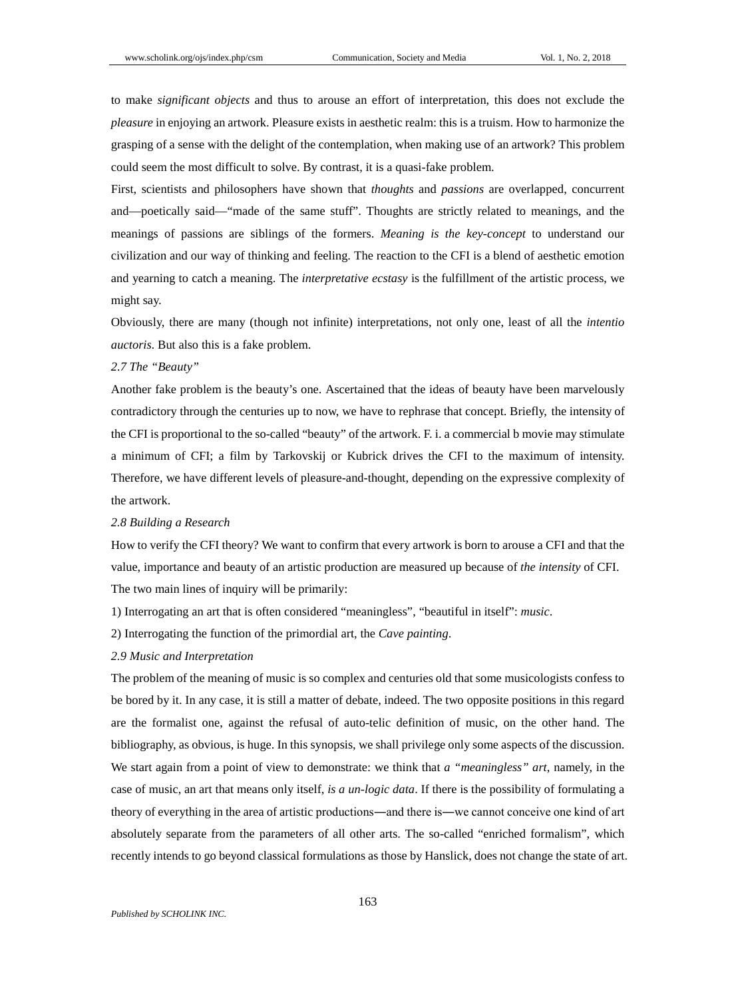to make *significant objects* and thus to arouse an effort of interpretation, this does not exclude the *pleasure* in enjoying an artwork. Pleasure exists in aesthetic realm: this is a truism. How to harmonize the grasping of a sense with the delight of the contemplation, when making use of an artwork? This problem could seem the most difficult to solve. By contrast, it is a quasi-fake problem.

First, scientists and philosophers have shown that *thoughts* and *passions* are overlapped, concurrent and—poetically said—"made of the same stuff". Thoughts are strictly related to meanings, and the meanings of passions are siblings of the formers. *Meaning is the key-concept* to understand our civilization and our way of thinking and feeling. The reaction to the CFI is a blend of aesthetic emotion and yearning to catch a meaning. The *interpretative ecstasy* is the fulfillment of the artistic process, we might say.

Obviously, there are many (though not infinite) interpretations, not only one, least of all the *intentio auctoris*. But also this is a fake problem.

# *2.7 The "Beauty"*

Another fake problem is the beauty's one. Ascertained that the ideas of beauty have been marvelously contradictory through the centuries up to now, we have to rephrase that concept. Briefly, the intensity of the CFI is proportional to the so-called "beauty" of the artwork. F. i. a commercial b movie may stimulate a minimum of CFI; a film by Tarkovskij or Kubrick drives the CFI to the maximum of intensity. Therefore, we have different levels of pleasure-and-thought, depending on the expressive complexity of the artwork.

#### *2.8 Building a Research*

How to verify the CFI theory? We want to confirm that every artwork is born to arouse a CFI and that the value, importance and beauty of an artistic production are measured up because of *the intensity* of CFI. The two main lines of inquiry will be primarily:

1) Interrogating an art that is often considered "meaningless", "beautiful in itself": *music*.

2) Interrogating the function of the primordial art, the *Cave painting*.

## *2.9 Music and Interpretation*

The problem of the meaning of music is so complex and centuries old that some musicologists confess to be bored by it. In any case, it is still a matter of debate, indeed. The two opposite positions in this regard are the formalist one, against the refusal of auto-telic definition of music, on the other hand. The bibliography, as obvious, is huge. In this synopsis, we shall privilege only some aspects of the discussion. We start again from a point of view to demonstrate: we think that *a "meaningless" art*, namely, in the case of music, an art that means only itself, *is a un-logic data*. If there is the possibility of formulating a theory of everything in the area of artistic productions―and there is―we cannot conceive one kind of art absolutely separate from the parameters of all other arts. The so-called "enriched formalism", which recently intends to go beyond classical formulations as those by Hanslick, does not change the state of art.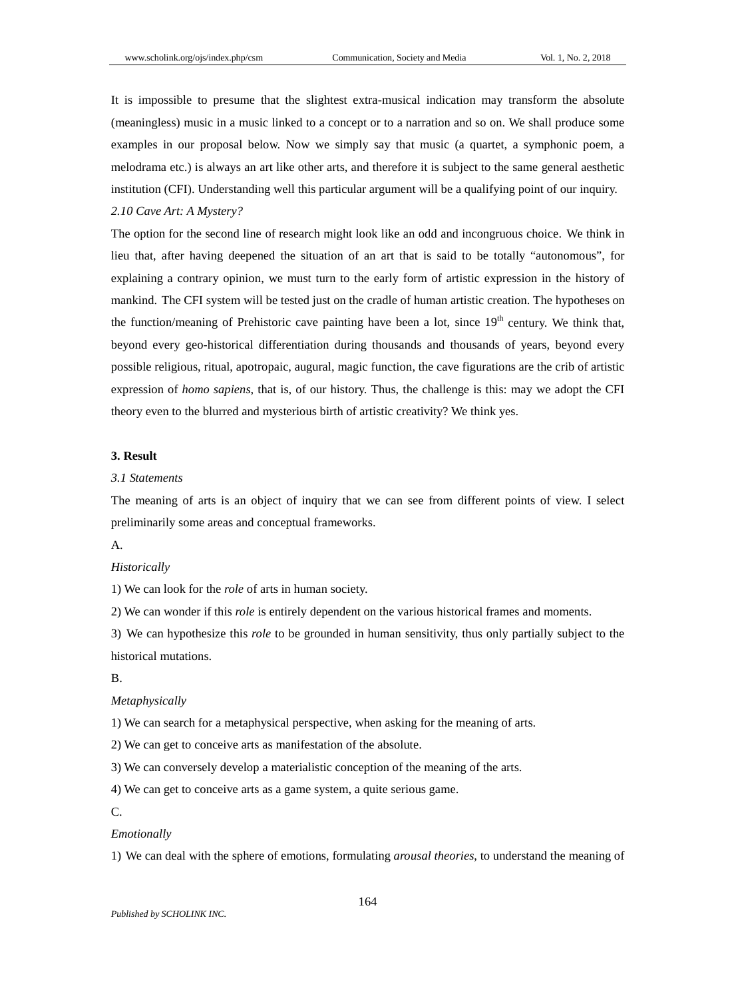It is impossible to presume that the slightest extra-musical indication may transform the absolute (meaningless) music in a music linked to a concept or to a narration and so on. We shall produce some examples in our proposal below. Now we simply say that music (a quartet, a symphonic poem, a melodrama etc.) is always an art like other arts, and therefore it is subject to the same general aesthetic institution (CFI). Understanding well this particular argument will be a qualifying point of our inquiry. *2.10 Cave Art: A Mystery?*

The option for the second line of research might look like an odd and incongruous choice. We think in lieu that, after having deepened the situation of an art that is said to be totally "autonomous", for explaining a contrary opinion, we must turn to the early form of artistic expression in the history of mankind. The CFI system will be tested just on the cradle of human artistic creation. The hypotheses on the function/meaning of Prehistoric cave painting have been a lot, since  $19<sup>th</sup>$  century. We think that, beyond every geo-historical differentiation during thousands and thousands of years, beyond every possible religious, ritual, apotropaic, augural, magic function, the cave figurations are the crib of artistic expression of *homo sapiens*, that is, of our history. Thus, the challenge is this: may we adopt the CFI theory even to the blurred and mysterious birth of artistic creativity? We think yes.

# **3. Result**

#### *3.1 Statements*

The meaning of arts is an object of inquiry that we can see from different points of view. I select preliminarily some areas and conceptual frameworks.

A.

#### *Historically*

1) We can look for the *role* of arts in human society.

2) We can wonder if this *role* is entirely dependent on the various historical frames and moments.

3) We can hypothesize this *role* to be grounded in human sensitivity, thus only partially subject to the historical mutations.

## B.

### *Metaphysically*

1) We can search for a metaphysical perspective, when asking for the meaning of arts.

2) We can get to conceive arts as manifestation of the absolute.

3) We can conversely develop a materialistic conception of the meaning of the arts.

4) We can get to conceive arts as a game system, a quite serious game.

C.

# *Emotionally*

1) We can deal with the sphere of emotions, formulating *arousal theories*, to understand the meaning of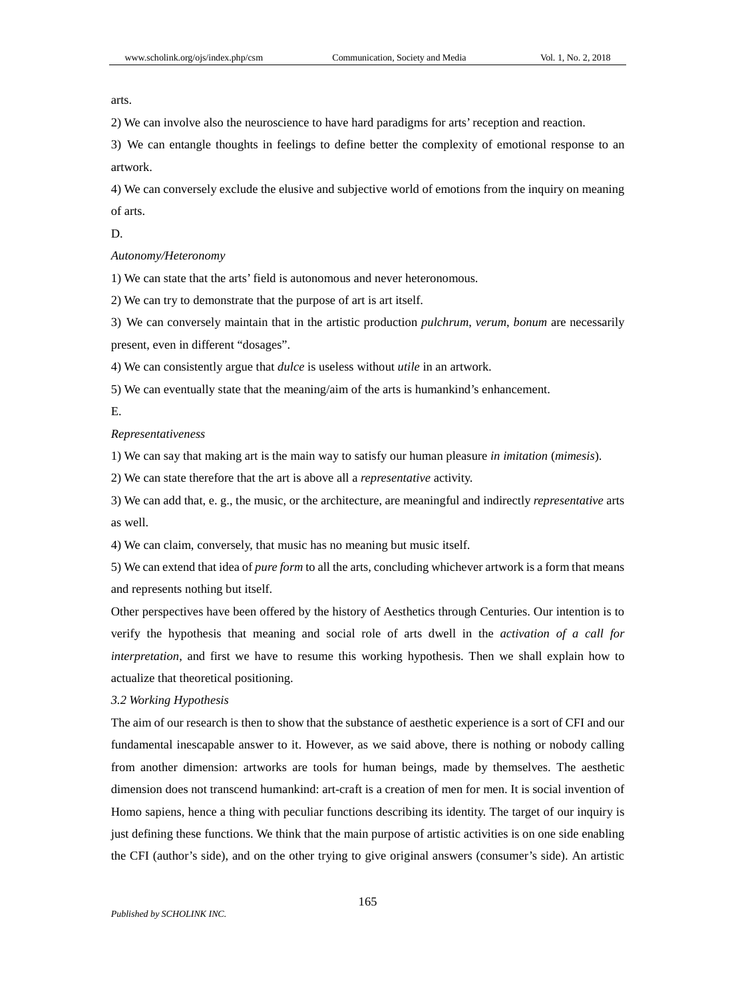arts.

2) We can involve also the neuroscience to have hard paradigms for arts' reception and reaction.

3) We can entangle thoughts in feelings to define better the complexity of emotional response to an artwork.

4) We can conversely exclude the elusive and subjective world of emotions from the inquiry on meaning of arts.

D.

#### *Autonomy/Heteronomy*

1) We can state that the arts' field is autonomous and never heteronomous.

2) We can try to demonstrate that the purpose of art is art itself.

3) We can conversely maintain that in the artistic production *pulchrum*, *verum*, *bonum* are necessarily present, even in different "dosages".

4) We can consistently argue that *dulce* is useless without *utile* in an artwork.

5) We can eventually state that the meaning/aim of the arts is humankind's enhancement.

E.

# *Representativeness*

1) We can say that making art is the main way to satisfy our human pleasure *in imitation* (*mimesis*).

2) We can state therefore that the art is above all a *representative* activity.

3) We can add that, e. g., the music, or the architecture, are meaningful and indirectly *representative* arts as well.

4) We can claim, conversely, that music has no meaning but music itself.

5) We can extend that idea of *pure form* to all the arts, concluding whichever artwork is a form that means and represents nothing but itself.

Other perspectives have been offered by the history of Aesthetics through Centuries. Our intention is to verify the hypothesis that meaning and social role of arts dwell in the *activation of a call for interpretation*, and first we have to resume this working hypothesis. Then we shall explain how to actualize that theoretical positioning.

## *3.2 Working Hypothesis*

The aim of our research is then to show that the substance of aesthetic experience is a sort of CFI and our fundamental inescapable answer to it. However, as we said above, there is nothing or nobody calling from another dimension: artworks are tools for human beings, made by themselves. The aesthetic dimension does not transcend humankind: art-craft is a creation of men for men. It is social invention of Homo sapiens, hence a thing with peculiar functions describing its identity. The target of our inquiry is just defining these functions. We think that the main purpose of artistic activities is on one side enabling the CFI (author's side), and on the other trying to give original answers (consumer's side). An artistic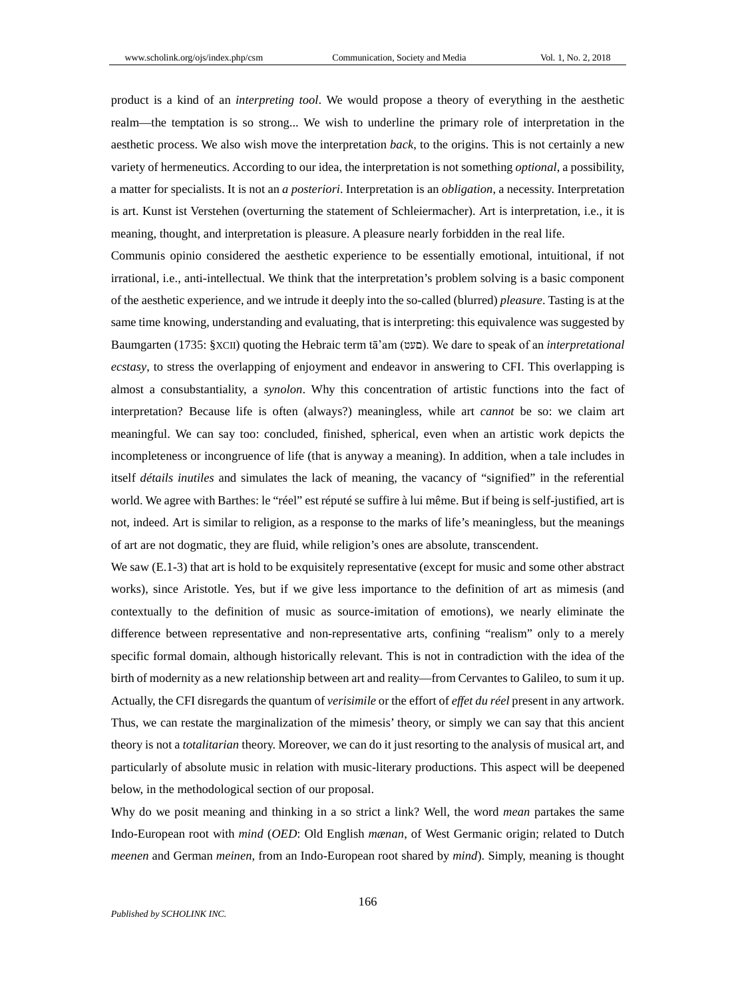product is a kind of an *interpreting tool*. We would propose a theory of everything in the aesthetic realm—the temptation is so strong... We wish to underline the primary role of interpretation in the aesthetic process. We also wish move the interpretation *back*, to the origins. This is not certainly a new variety of hermeneutics. According to our idea, the interpretation is not something *optional*, a possibility, a matter for specialists. It is not an *a posteriori*. Interpretation is an *obligation*, a necessity. Interpretation is art. Kunst ist Verstehen (overturning the statement of Schleiermacher). Art is interpretation, i.e., it is meaning, thought, and interpretation is pleasure. A pleasure nearly forbidden in the real life.

Communis opinio considered the aesthetic experience to be essentially emotional, intuitional, if not irrational, i.e., anti-intellectual. We think that the interpretation's problem solving is a basic component of the aesthetic experience, and we intrude it deeply into the so-called (blurred) *pleasure*. Tasting is at the same time knowing, understanding and evaluating, that is interpreting: this equivalence was suggested by Baumgarten (1735: §XCII) quoting the Hebraic term tā'am (םעט(. We dare to speak of an *interpretational ecstasy*, to stress the overlapping of enjoyment and endeavor in answering to CFI. This overlapping is almost a consubstantiality, a *synolon*. Why this concentration of artistic functions into the fact of interpretation? Because life is often (always?) meaningless, while art *cannot* be so: we claim art meaningful. We can say too: concluded, finished, spherical, even when an artistic work depicts the incompleteness or incongruence of life (that is anyway a meaning). In addition, when a tale includes in itself *détails inutiles* and simulates the lack of meaning, the vacancy of "signified" in the referential world. We agree with Barthes: le "réel" est réputé se suffire à lui même. But if being is self-justified, art is not, indeed. Art is similar to religion, as a response to the marks of life's meaningless, but the meanings of art are not dogmatic, they are fluid, while religion's ones are absolute, transcendent.

We saw (E.1-3) that art is hold to be exquisitely representative (except for music and some other abstract works), since Aristotle. Yes, but if we give less importance to the definition of art as mimesis (and contextually to the definition of music as source-imitation of emotions), we nearly eliminate the difference between representative and non-representative arts, confining "realism" only to a merely specific formal domain, although historically relevant. This is not in contradiction with the idea of the birth of modernity as a new relationship between art and reality—from Cervantes to Galileo, to sum it up. Actually, the CFI disregards the quantum of *verisimile* or the effort of *effet du réel* present in any artwork. Thus, we can restate the marginalization of the mimesis' theory, or simply we can say that this ancient theory is not a *totalitarian* theory. Moreover, we can do it just resorting to the analysis of musical art, and particularly of absolute music in relation with music-literary productions. This aspect will be deepened below, in the methodological section of our proposal.

Why do we posit meaning and thinking in a so strict a link? Well, the word *mean* partakes the same Indo-European root with *mind* (*OED*: Old English *mænan*, of West Germanic origin; related to Dutch *meenen* and German *meinen*, from an Indo-European root shared by *[mind](http://oxforddictionaries.com/definition/english/mind)*). Simply, meaning is thought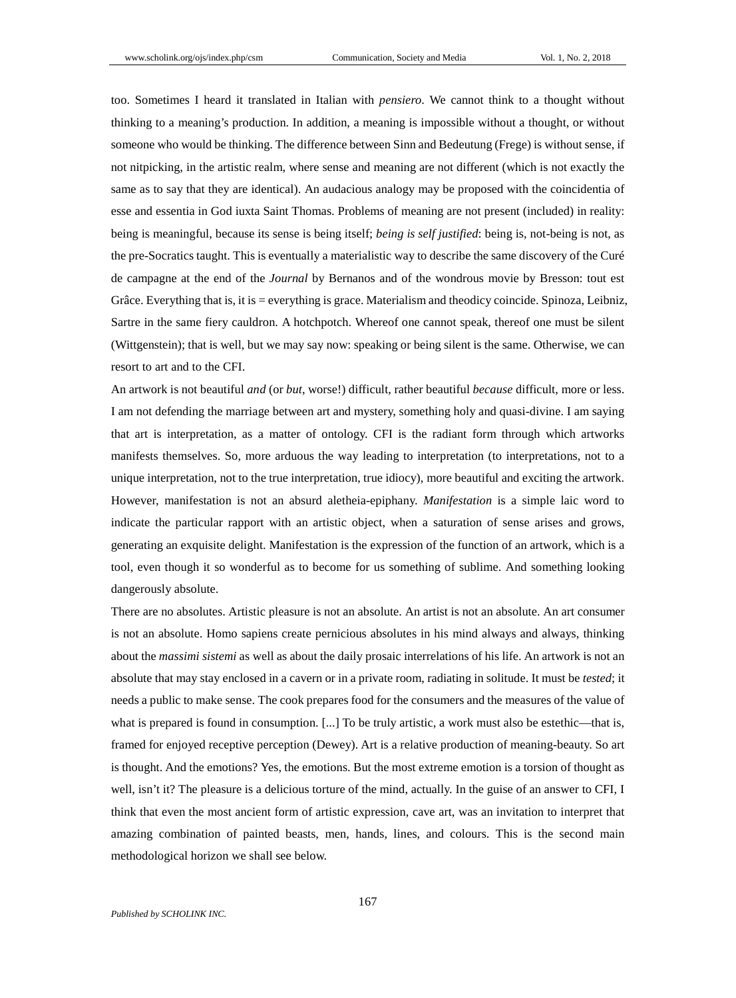too. Sometimes I heard it translated in Italian with *pensiero*. We cannot think to a thought without thinking to a meaning's production. In addition, a meaning is impossible without a thought, or without someone who would be thinking. The difference between Sinn and Bedeutung (Frege) is without sense, if not nitpicking, in the artistic realm, where sense and meaning are not different (which is not exactly the same as to say that they are identical). An audacious analogy may be proposed with the coincidentia of esse and essentia in God iuxta Saint Thomas. Problems of meaning are not present (included) in reality: being is meaningful, because its sense is being itself; *being is self justified*: being is, not-being is not, as the pre-Socratics taught. This is eventually a materialistic way to describe the same discovery of the Curé de campagne at the end of the *Journal* by Bernanos and of the wondrous movie by Bresson: tout est Grâce. Everything that is, it is = everything is grace. Materialism and theodicy coincide. Spinoza, Leibniz, Sartre in the same fiery cauldron. A hotchpotch. Whereof one cannot speak, thereof one must be silent (Wittgenstein); that is well, but we may say now: speaking or being silent is the same. Otherwise, we can resort to art and to the CFI.

An artwork is not beautiful *and* (or *but*, worse!) difficult, rather beautiful *because* difficult, more or less. I am not defending the marriage between art and mystery, something holy and quasi-divine. I am saying that art is interpretation, as a matter of ontology. CFI is the radiant form through which artworks manifests themselves. So, more arduous the way leading to interpretation (to interpretations, not to a unique interpretation, not to the true interpretation, true idiocy), more beautiful and exciting the artwork. However, manifestation is not an absurd aletheia-epiphany. *Manifestation* is a simple laic word to indicate the particular rapport with an artistic object, when a saturation of sense arises and grows, generating an exquisite delight. Manifestation is the expression of the function of an artwork, which is a tool, even though it so wonderful as to become for us something of sublime. And something looking dangerously absolute.

There are no absolutes. Artistic pleasure is not an absolute. An artist is not an absolute. An art consumer is not an absolute. Homo sapiens create pernicious absolutes in his mind always and always, thinking about the *massimi sistemi* as well as about the daily prosaic interrelations of his life. An artwork is not an absolute that may stay enclosed in a cavern or in a private room, radiating in solitude. It must be *tested*; it needs a public to make sense. The cook prepares food for the consumers and the measures of the value of what is prepared is found in consumption. [...] To be truly artistic, a work must also be estethic—that is, framed for enjoyed receptive perception (Dewey). Art is a relative production of meaning-beauty. So art is thought. And the emotions? Yes, the emotions. But the most extreme emotion is a torsion of thought as well, isn't it? The pleasure is a delicious torture of the mind, actually. In the guise of an answer to CFI, I think that even the most ancient form of artistic expression, cave art, was an invitation to interpret that amazing combination of painted beasts, men, hands, lines, and colours. This is the second main methodological horizon we shall see below.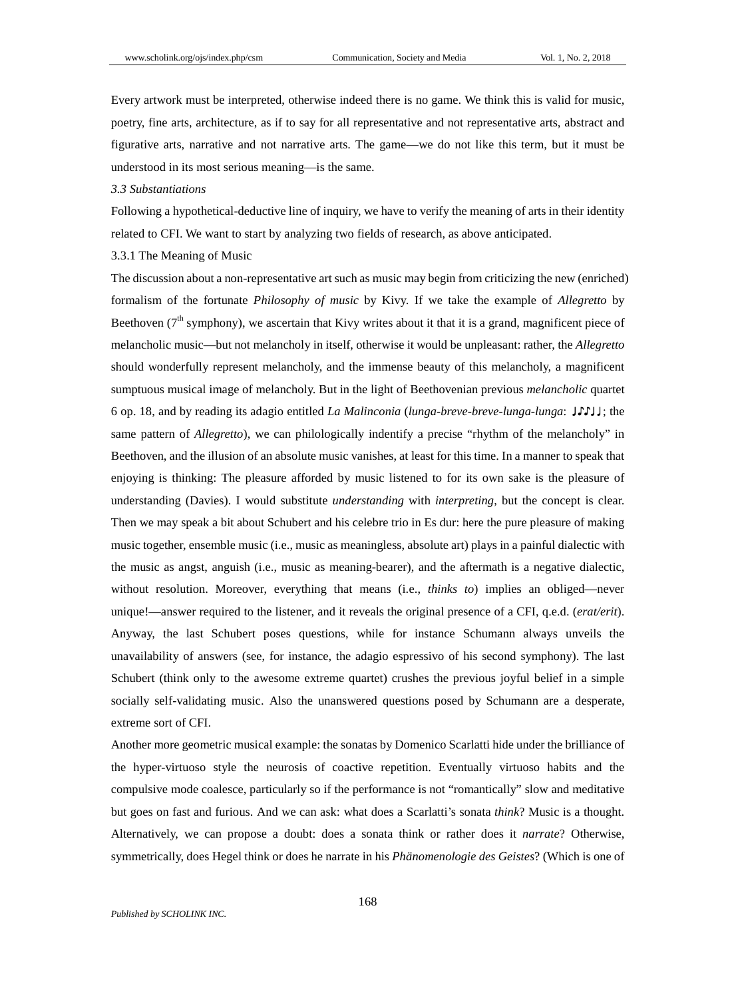Every artwork must be interpreted, otherwise indeed there is no game. We think this is valid for music, poetry, fine arts, architecture, as if to say for all representative and not representative arts, abstract and figurative arts, narrative and not narrative arts. The game—we do not like this term, but it must be understood in its most serious meaning—is the same.

## *3.3 Substantiations*

Following a hypothetical-deductive line of inquiry, we have to verify the meaning of arts in their identity related to CFI. We want to start by analyzing two fields of research, as above anticipated.

# 3.3.1 The Meaning of Music

The discussion about a non-representative art such as music may begin from criticizing the new (enriched) formalism of the fortunate *Philosophy of music* by Kivy. If we take the example of *Allegretto* by Beethoven  $(7<sup>th</sup>$  symphony), we ascertain that Kivy writes about it that it is a grand, magnificent piece of melancholic music—but not melancholy in itself, otherwise it would be unpleasant: rather, the *Allegretto* should wonderfully represent melancholy, and the immense beauty of this melancholy, a magnificent sumptuous musical image of melancholy. But in the light of Beethovenian previous *melancholic* quartet 6 op. 18, and by reading its adagio entitled *La Malinconia* (*lunga-breve-breve-lunga-lunga*: ♩♪♪♩♩; the same pattern of *Allegretto*), we can philologically indentify a precise "rhythm of the melancholy" in Beethoven, and the illusion of an absolute music vanishes, at least for this time. In a manner to speak that enjoying is thinking: The pleasure afforded by music listened to for its own sake is the pleasure of understanding (Davies). I would substitute *understanding* with *interpreting*, but the concept is clear. Then we may speak a bit about Schubert and his celebre trio in Es dur: here the pure pleasure of making music together, ensemble music (i.e., music as meaningless, absolute art) plays in a painful dialectic with the music as angst, anguish (i.e., music as meaning-bearer), and the aftermath is a negative dialectic, without resolution. Moreover, everything that means (i.e., *thinks to*) implies an obliged—never unique!—answer required to the listener, and it reveals the original presence of a CFI, q.e.d. (*erat/erit*). Anyway, the last Schubert poses questions, while for instance Schumann always unveils the unavailability of answers (see, for instance, the adagio espressivo of his second symphony). The last Schubert (think only to the awesome extreme quartet) crushes the previous joyful belief in a simple socially self-validating music. Also the unanswered questions posed by Schumann are a desperate, extreme sort of CFI.

Another more geometric musical example: the sonatas by Domenico Scarlatti hide under the brilliance of the hyper-virtuoso style the neurosis of coactive repetition. Eventually virtuoso habits and the compulsive mode coalesce, particularly so if the performance is not "romantically" slow and meditative but goes on fast and furious. And we can ask: what does a Scarlatti's sonata *think*? Music is a thought. Alternatively, we can propose a doubt: does a sonata think or rather does it *narrate*? Otherwise, symmetrically, does Hegel think or does he narrate in his *Phänomenologie des Geistes*? (Which is one of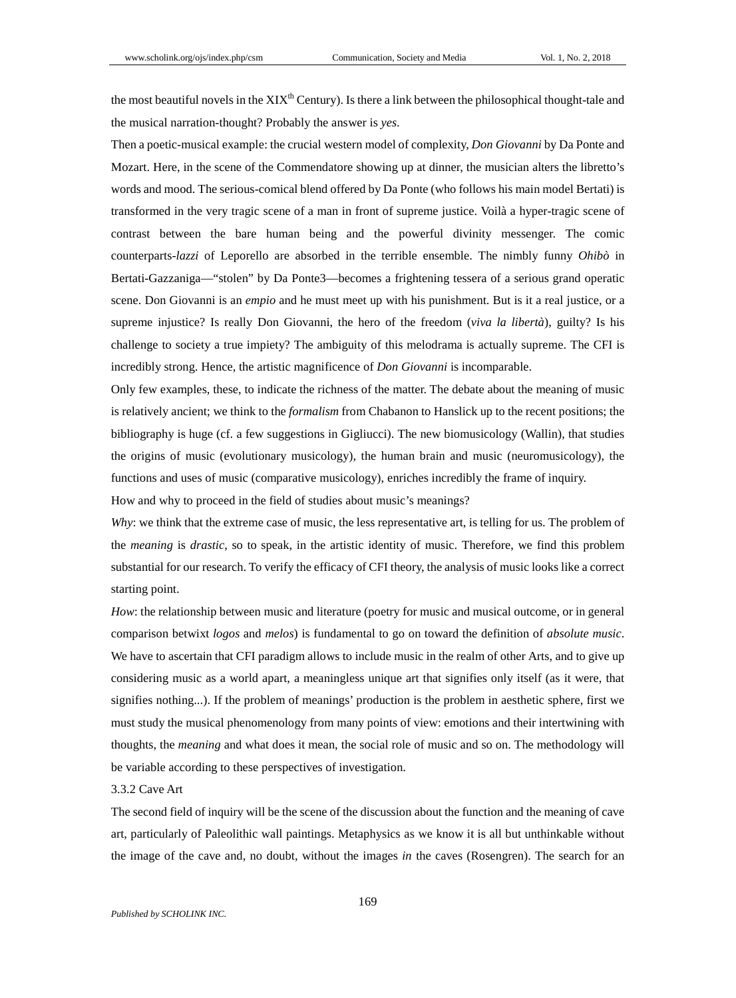the most beautiful novels in the  $XIX^h$  Century). Is there a link between the philosophical thought-tale and the musical narration-thought? Probably the answer is *yes*.

Then a poetic-musical example: the crucial western model of complexity, *Don Giovanni* by Da Ponte and Mozart. Here, in the scene of the Commendatore showing up at dinner, the musician alters the libretto's words and mood. The serious-comical blend offered by Da Ponte (who follows his main model Bertati) is transformed in the very tragic scene of a man in front of supreme justice. Voilà a hyper-tragic scene of contrast between the bare human being and the powerful divinity messenger. The comic counterparts-*lazzi* of Leporello are absorbed in the terrible ensemble. The nimbly funny *Ohibò* in Bertati-Gazzaniga—"stolen" by Da Ponte3—becomes a frightening tessera of a serious grand operatic scene. Don Giovanni is an *empio* and he must meet up with his punishment. But is it a real justice, or a supreme injustice? Is really Don Giovanni, the hero of the freedom (*viva la libertà*), guilty? Is his challenge to society a true impiety? The ambiguity of this melodrama is actually supreme. The CFI is incredibly strong. Hence, the artistic magnificence of *Don Giovanni* is incomparable.

Only few examples, these, to indicate the richness of the matter. The debate about the meaning of music is relatively ancient; we think to the *formalism* from Chabanon to Hanslick up to the recent positions; the bibliography is huge (cf. a few suggestions in Gigliucci). The new biomusicology (Wallin), that studies the origins of music (evolutionary musicology), the human brain and music (neuromusicology), the functions and uses of music (comparative musicology), enriches incredibly the frame of inquiry.

How and why to proceed in the field of studies about music's meanings?

*Why*: we think that the extreme case of music, the less representative art, is telling for us. The problem of the *meaning* is *drastic*, so to speak, in the artistic identity of music. Therefore, we find this problem substantial for our research. To verify the efficacy of CFI theory, the analysis of music looks like a correct starting point.

*How*: the relationship between music and literature (poetry for music and musical outcome, or in general comparison betwixt *logos* and *melos*) is fundamental to go on toward the definition of *absolute music*. We have to ascertain that CFI paradigm allows to include music in the realm of other Arts, and to give up considering music as a world apart, a meaningless unique art that signifies only itself (as it were, that signifies nothing...). If the problem of meanings' production is the problem in aesthetic sphere, first we must study the musical phenomenology from many points of view: emotions and their intertwining with thoughts, the *meaning* and what does it mean, the social role of music and so on. The methodology will be variable according to these perspectives of investigation.

# 3.3.2 Cave Art

The second field of inquiry will be the scene of the discussion about the function and the meaning of cave art, particularly of Paleolithic wall paintings. Metaphysics as we know it is all but unthinkable without the image of the cave and, no doubt, without the images *in* the caves (Rosengren). The search for an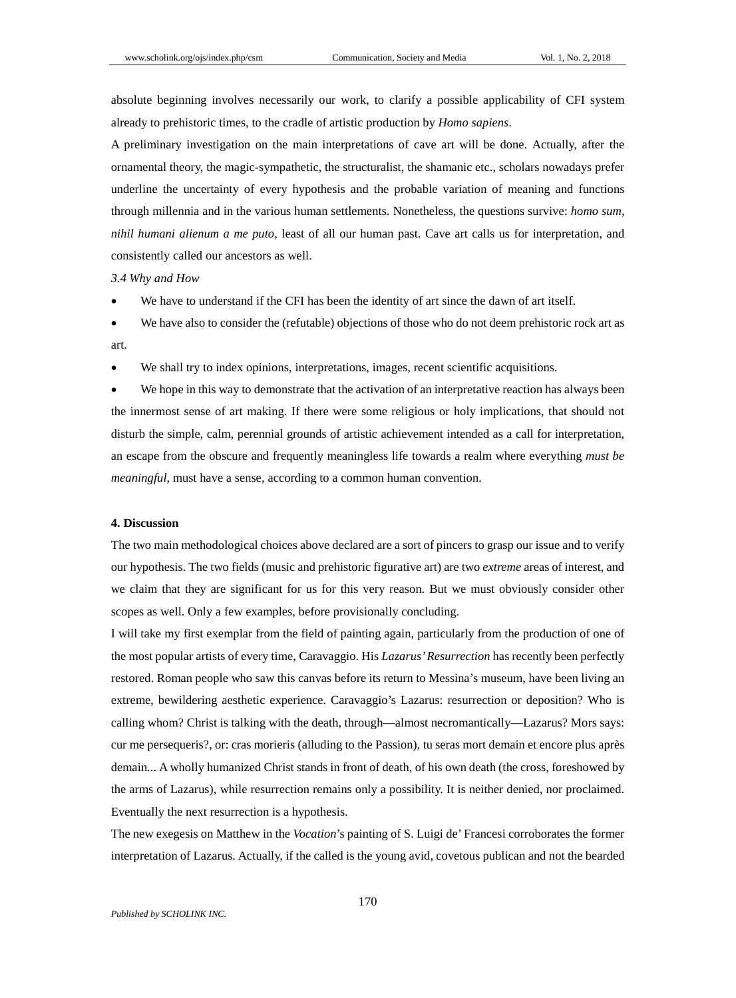absolute beginning involves necessarily our work, to clarify a possible applicability of CFI system already to prehistoric times, to the cradle of artistic production by *Homo sapiens*.

A preliminary investigation on the main interpretations of cave art will be done. Actually, after the ornamental theory, the magic-sympathetic, the structuralist, the shamanic etc., scholars nowadays prefer underline the uncertainty of every hypothesis and the probable variation of meaning and functions through millennia and in the various human settlements. Nonetheless, the questions survive: *homo sum, nihil humani alienum a me puto*, least of all our human past. Cave art calls us for interpretation, and consistently called our ancestors as well.

*3.4 Why and How*

We have to understand if the CFI has been the identity of art since the dawn of art itself.

We have also to consider the (refutable) objections of those who do not deem prehistoric rock art as art.

We shall try to index opinions, interpretations, images, recent scientific acquisitions.

We hope in this way to demonstrate that the activation of an interpretative reaction has always been the innermost sense of art making. If there were some religious or holy implications, that should not disturb the simple, calm, perennial grounds of artistic achievement intended as a call for interpretation, an escape from the obscure and frequently meaningless life towards a realm where everything *must be meaningful*, must have a sense, according to a common human convention.

# **4. Discussion**

The two main methodological choices above declared are a sort of pincers to grasp our issue and to verify our hypothesis. The two fields (music and prehistoric figurative art) are two *extreme* areas of interest, and we claim that they are significant for us for this very reason. But we must obviously consider other scopes as well. Only a few examples, before provisionally concluding.

I will take my first exemplar from the field of painting again, particularly from the production of one of the most popular artists of every time, Caravaggio. His *Lazarus' Resurrection* has recently been perfectly restored. Roman people who saw this canvas before its return to Messina's museum, have been living an extreme, bewildering aesthetic experience. Caravaggio's Lazarus: resurrection or deposition? Who is calling whom? Christ is talking with the death, through—almost necromantically—Lazarus? Mors says: cur me persequeris?, or: cras morieris (alluding to the Passion), tu seras mort demain et encore plus après demain... A wholly humanized Christ stands in front of death, of his own death (the cross, foreshowed by the arms of Lazarus), while resurrection remains only a possibility. It is neither denied, nor proclaimed. Eventually the next resurrection is a hypothesis.

The new exegesis on Matthew in the *Vocation*'s painting of S. Luigi de' Francesi corroborates the former interpretation of Lazarus. Actually, if the called is the young avid, covetous publican and not the bearded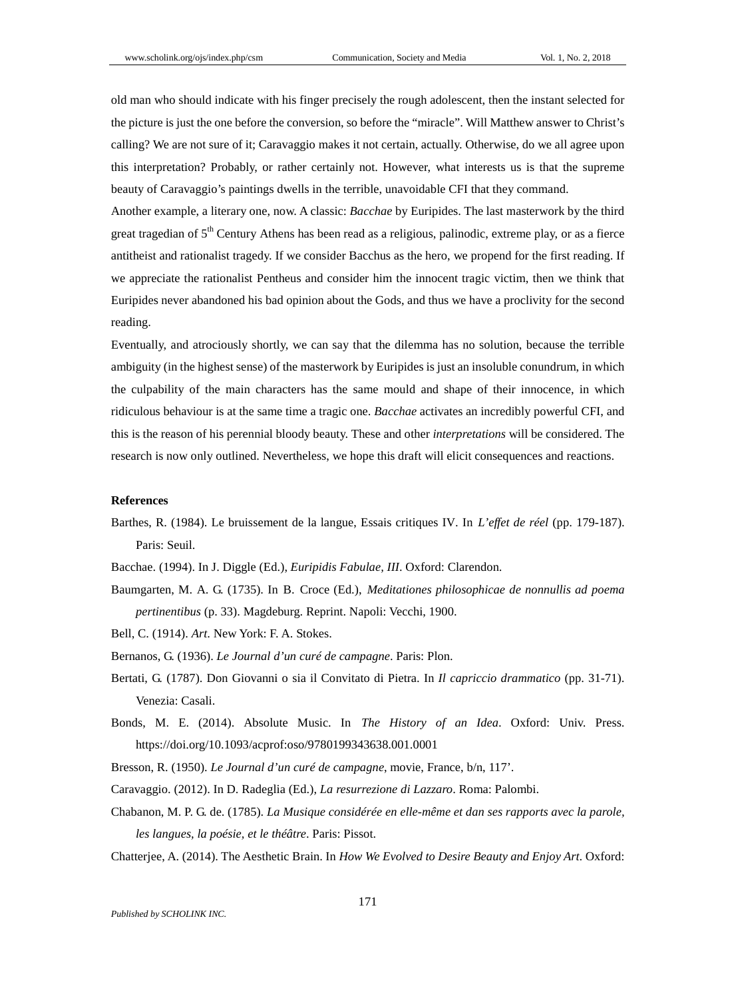old man who should indicate with his finger precisely the rough adolescent, then the instant selected for the picture is just the one before the conversion, so before the "miracle". Will Matthew answer to Christ's calling? We are not sure of it; Caravaggio makes it not certain, actually. Otherwise, do we all agree upon this interpretation? Probably, or rather certainly not. However, what interests us is that the supreme beauty of Caravaggio's paintings dwells in the terrible, unavoidable CFI that they command.

Another example, a literary one, now. A classic: *Bacchae* by Euripides. The last masterwork by the third great tragedian of 5<sup>th</sup> Century Athens has been read as a religious, palinodic, extreme play, or as a fierce antitheist and rationalist tragedy. If we consider Bacchus as the hero, we propend for the first reading. If we appreciate the rationalist Pentheus and consider him the innocent tragic victim, then we think that Euripides never abandoned his bad opinion about the Gods, and thus we have a proclivity for the second reading.

Eventually, and atrociously shortly, we can say that the dilemma has no solution, because the terrible ambiguity (in the highest sense) of the masterwork by Euripides is just an insoluble conundrum, in which the culpability of the main characters has the same mould and shape of their innocence, in which ridiculous behaviour is at the same time a tragic one. *Bacchae* activates an incredibly powerful CFI, and this is the reason of his perennial bloody beauty. These and other *interpretations* will be considered. The research is now only outlined. Nevertheless, we hope this draft will elicit consequences and reactions.

## **References**

Barthes, R. (1984). Le bruissement de la langue, Essais critiques IV. In *L'effet de réel* (pp. 179-187). Paris: Seuil.

Bacchae. (1994). In J. Diggle (Ed.), *Euripidis Fabulae, III*. Oxford: Clarendon.

Baumgarten, M. A. G. (1735). In B. Croce (Ed.), *Meditationes philosophicae de nonnullis ad poema pertinentibus* (p. 33). Magdeburg. Reprint. Napoli: Vecchi, 1900.

Bell, C. (1914). *Art*. New York: F. A. Stokes.

Bernanos, G. (1936). *Le Journal d'un curé de campagne*. Paris: Plon.

- Bertati, G. (1787). Don Giovanni o sia il Convitato di Pietra. In *Il capriccio drammatico* (pp. 31-71). Venezia: Casali.
- Bonds, M. E. (2014). Absolute Music. In *The History of an Idea*. Oxford: Univ. Press. https://doi.org/10.1093/acprof:oso/9780199343638.001.0001

Bresson, R. (1950). *Le Journal d'un curé de campagne*, movie, France, b/n, 117'.

Caravaggio. (2012). In D. Radeglia (Ed.), *La resurrezione di Lazzaro*. Roma: Palombi.

Chabanon, M. P. G. de. (1785). *La Musique considérée en elle-même et dan ses rapports avec la parole, les langues, la poésie, et le théâtre*. Paris: Pissot.

Chatterjee, A. (2014). The Aesthetic Brain. In *How We Evolved to Desire Beauty and Enjoy Art*. Oxford:

*Published by SCHOLINK INC.*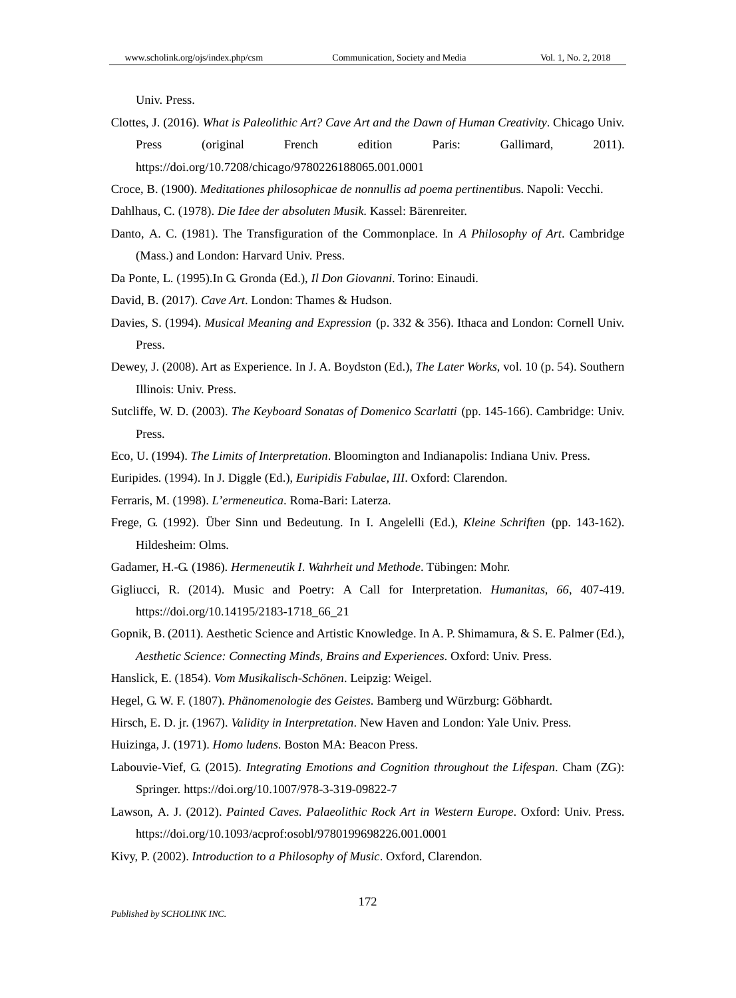Univ. Press.

- Clottes, J. (2016). *What is Paleolithic Art? Cave Art and the Dawn of Human Creativity*. Chicago Univ. Press (original French edition Paris: Gallimard, 2011). https://doi.org/10.7208/chicago/9780226188065.001.0001
- Croce, B. (1900). *Meditationes philosophicae de nonnullis ad poema pertinentibu*s. Napoli: Vecchi.
- Dahlhaus, C. (1978). *Die Idee der absoluten Musik*. Kassel: Bärenreiter.
- Danto, A. C. (1981). The Transfiguration of the Commonplace. In *A Philosophy of Art*. Cambridge (Mass.) and London: Harvard Univ. Press.
- Da Ponte, L. (1995).In G. Gronda (Ed.), *Il Don Giovanni*. Torino: Einaudi.
- David, B. (2017). *Cave Art*. London: Thames & Hudson.
- Davies, S. (1994). *Musical Meaning and Expression* (p. 332 & 356). Ithaca and London: Cornell Univ. Press.
- Dewey, J. (2008). Art as Experience. In J. A. Boydston (Ed.), *The Later Works*, vol. 10 (p. 54). Southern Illinois: Univ. Press.
- Sutcliffe, W. D. (2003). *The Keyboard Sonatas of Domenico Scarlatti* (pp. 145-166). Cambridge: Univ. Press.
- Eco, U. (1994). *The Limits of Interpretation*. Bloomington and Indianapolis: Indiana Univ. Press.
- Euripides. (1994). In J. Diggle (Ed.), *Euripidis Fabulae, III*. Oxford: Clarendon.
- Ferraris, M. (1998). *L'ermeneutica*. Roma-Bari: Laterza.
- Frege, G. (1992). Über Sinn und Bedeutung. In I. Angelelli (Ed.), *Kleine Schriften* (pp. 143-162). Hildesheim: Olms.
- Gadamer, H.-G. (1986). *Hermeneutik I*. *Wahrheit und Methode*. Tübingen: Mohr.
- Gigliucci, R. (2014). Music and Poetry: A Call for Interpretation. *Humanitas*, *66*, 407-419. https://doi.org/10.14195/2183-1718\_66\_21
- Gopnik, B. (2011). Aesthetic Science and Artistic Knowledge. In A. P. Shimamura, & S. E. Palmer (Ed.), *Aesthetic Science: Connecting Minds, Brains and Experiences*. Oxford: Univ. Press.
- Hanslick, E. (1854). *Vom Musikalisch-Schönen*. Leipzig: Weigel.
- Hegel, G. W. F. (1807). *Phänomenologie des Geistes*. Bamberg und Würzburg: Göbhardt.
- Hirsch, E. D. jr. (1967). *Validity in Interpretation*. New Haven and London: Yale Univ. Press.
- Huizinga, J. (1971). *Homo ludens*. Boston MA: Beacon Press.
- Labouvie-Vief, G. (2015). *Integrating Emotions and Cognition throughout the Lifespan*. Cham (ZG): Springer. https://doi.org/10.1007/978-3-319-09822-7
- Lawson, A. J. (2012). *Painted Caves. Palaeolithic Rock Art in Western Europe*. Oxford: Univ. Press. https://doi.org/10.1093/acprof:osobl/9780199698226.001.0001
- Kivy, P. (2002). *Introduction to a Philosophy of Music*. Oxford, Clarendon.

*Published by SCHOLINK INC.*